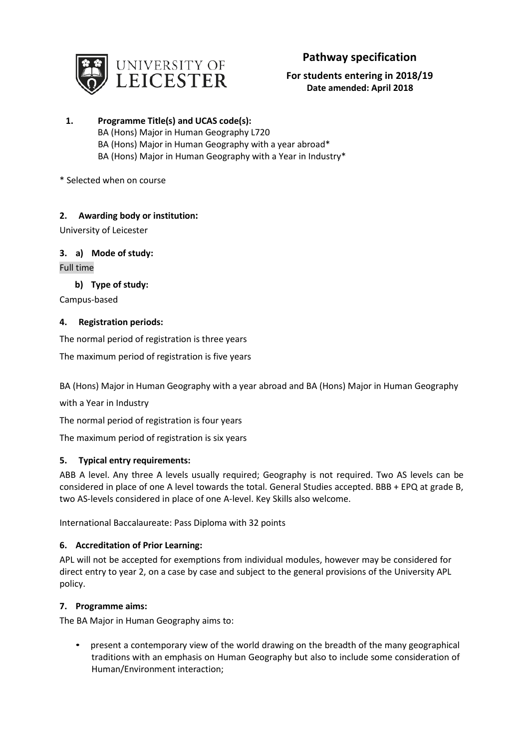

# **Pathway specification**

## **For students entering in 2018/19 Date amended: April 2018**

- **1. Programme Title(s) and UCAS code(s):** BA (Hons) Major in Human Geography L720 BA (Hons) Major in Human Geography with a year abroad\* BA (Hons) Major in Human Geography with a Year in Industry\*
- \* Selected when on course

## **2. Awarding body or institution:**

University of Leicester

## **3. a) Mode of study:**

Full time

## **b) Type of study:**

Campus-based

## **4. Registration periods:**

The normal period of registration is three years

The maximum period of registration is five years

BA (Hons) Major in Human Geography with a year abroad and BA (Hons) Major in Human Geography

with a Year in Industry

The normal period of registration is four years

The maximum period of registration is six years

## **5. Typical entry requirements:**

ABB A level. Any three A levels usually required; Geography is not required. Two AS levels can be considered in place of one A level towards the total. General Studies accepted. BBB + EPQ at grade B, two AS-levels considered in place of one A-level. Key Skills also welcome.

International Baccalaureate: Pass Diploma with 32 points

## **6. Accreditation of Prior Learning:**

APL will not be accepted for exemptions from individual modules, however may be considered for direct entry to year 2, on a case by case and subject to the general provisions of the University APL policy.

## **7. Programme aims:**

The BA Major in Human Geography aims to:

• present a contemporary view of the world drawing on the breadth of the many geographical traditions with an emphasis on Human Geography but also to include some consideration of Human/Environment interaction;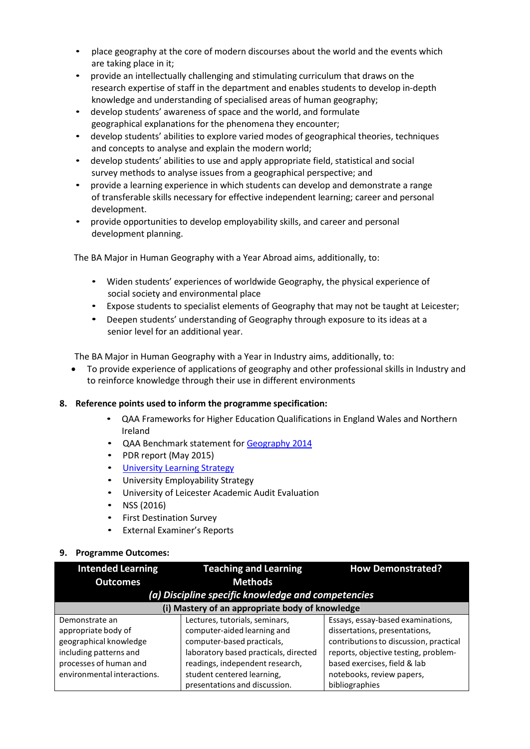- place geography at the core of modern discourses about the world and the events which are taking place in it;
- provide an intellectually challenging and stimulating curriculum that draws on the research expertise of staff in the department and enables students to develop in-depth knowledge and understanding of specialised areas of human geography;
- develop students' awareness of space and the world, and formulate geographical explanations for the phenomena they encounter;
- develop students' abilities to explore varied modes of geographical theories, techniques and concepts to analyse and explain the modern world;
- develop students' abilities to use and apply appropriate field, statistical and social survey methods to analyse issues from a geographical perspective; and
- provide a learning experience in which students can develop and demonstrate a range of transferable skills necessary for effective independent learning; career and personal development.
- provide opportunities to develop employability skills, and career and personal development planning.

The BA Major in Human Geography with a Year Abroad aims, additionally, to:

- Widen students' experiences of worldwide Geography, the physical experience of social society and environmental place
- Expose students to specialist elements of Geography that may not be taught at Leicester;
- Deepen students' understanding of Geography through exposure to its ideas at a senior level for an additional year.

The BA Major in Human Geography with a Year in Industry aims, additionally, to:

• To provide experience of applications of geography and other professional skills in Industry and to reinforce knowledge through their use in different environments

## **8. Reference points used to inform the programme specification:**

- QAA Frameworks for Higher Education Qualifications in England Wales and Northern Ireland
- QAA Benchmark statement fo[r Geography](http://www.qaa.ac.uk/en/Publications/Documents/SBS-geography-14.pdf) 2014
- PDR report (May 2015)
- University [Learning Strategy](http://www2.le.ac.uk/offices/sas2/quality/learnteach)
- University Employability Strategy
- University of Leicester Academic Audit Evaluation
- NSS (2016)
- First Destination Survey
- External Examiner's Reports

## **9. Programme Outcomes:**

| <b>Intended Learning</b>    | <b>Teaching and Learning</b>                       | <b>How Demonstrated?</b>               |  |  |  |
|-----------------------------|----------------------------------------------------|----------------------------------------|--|--|--|
| <b>Outcomes</b>             | <b>Methods</b>                                     |                                        |  |  |  |
|                             | (a) Discipline specific knowledge and competencies |                                        |  |  |  |
|                             | (i) Mastery of an appropriate body of knowledge    |                                        |  |  |  |
| Demonstrate an              | Lectures, tutorials, seminars,                     | Essays, essay-based examinations,      |  |  |  |
| appropriate body of         | computer-aided learning and                        | dissertations, presentations,          |  |  |  |
| geographical knowledge      | computer-based practicals,                         | contributions to discussion, practical |  |  |  |
| including patterns and      | laboratory based practicals, directed              | reports, objective testing, problem-   |  |  |  |
| processes of human and      | readings, independent research,                    | based exercises, field & lab           |  |  |  |
| environmental interactions. | student centered learning,                         | notebooks, review papers,              |  |  |  |
|                             | presentations and discussion.                      | bibliographies                         |  |  |  |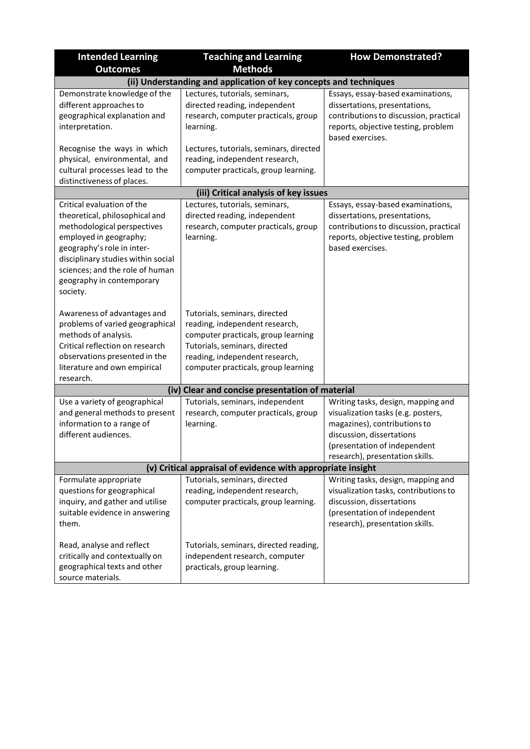| <b>Intended Learning</b>                                                                                                                                                                                                                                              | <b>Teaching and Learning</b>                                                                                                                                                                                     | <b>How Demonstrated?</b>                                                                                                                                                                                 |
|-----------------------------------------------------------------------------------------------------------------------------------------------------------------------------------------------------------------------------------------------------------------------|------------------------------------------------------------------------------------------------------------------------------------------------------------------------------------------------------------------|----------------------------------------------------------------------------------------------------------------------------------------------------------------------------------------------------------|
| <b>Outcomes</b>                                                                                                                                                                                                                                                       | <b>Methods</b>                                                                                                                                                                                                   |                                                                                                                                                                                                          |
|                                                                                                                                                                                                                                                                       | (ii) Understanding and application of key concepts and techniques                                                                                                                                                |                                                                                                                                                                                                          |
| Demonstrate knowledge of the<br>different approaches to<br>geographical explanation and<br>interpretation.                                                                                                                                                            | Lectures, tutorials, seminars,<br>directed reading, independent<br>research, computer practicals, group<br>learning.                                                                                             | Essays, essay-based examinations,<br>dissertations, presentations,<br>contributions to discussion, practical<br>reports, objective testing, problem<br>based exercises.                                  |
| Recognise the ways in which<br>physical, environmental, and<br>cultural processes lead to the<br>distinctiveness of places.                                                                                                                                           | Lectures, tutorials, seminars, directed<br>reading, independent research,<br>computer practicals, group learning.                                                                                                |                                                                                                                                                                                                          |
|                                                                                                                                                                                                                                                                       | (iii) Critical analysis of key issues                                                                                                                                                                            |                                                                                                                                                                                                          |
| Critical evaluation of the<br>theoretical, philosophical and<br>methodological perspectives<br>employed in geography;<br>geography's role in inter-<br>disciplinary studies within social<br>sciences; and the role of human<br>geography in contemporary<br>society. | Lectures, tutorials, seminars,<br>directed reading, independent<br>research, computer practicals, group<br>learning.                                                                                             | Essays, essay-based examinations,<br>dissertations, presentations,<br>contributions to discussion, practical<br>reports, objective testing, problem<br>based exercises.                                  |
| Awareness of advantages and<br>problems of varied geographical<br>methods of analysis.<br>Critical reflection on research<br>observations presented in the<br>literature and own empirical<br>research.                                                               | Tutorials, seminars, directed<br>reading, independent research,<br>computer practicals, group learning<br>Tutorials, seminars, directed<br>reading, independent research,<br>computer practicals, group learning |                                                                                                                                                                                                          |
|                                                                                                                                                                                                                                                                       | (iv) Clear and concise presentation of material                                                                                                                                                                  |                                                                                                                                                                                                          |
| Use a variety of geographical<br>and general methods to present<br>information to a range of<br>different audiences.                                                                                                                                                  | Tutorials, seminars, independent<br>research, computer practicals, group<br>learning.                                                                                                                            | Writing tasks, design, mapping and<br>visualization tasks (e.g. posters,<br>magazines), contributions to<br>discussion, dissertations<br>(presentation of independent<br>research), presentation skills. |
|                                                                                                                                                                                                                                                                       | (v) Critical appraisal of evidence with appropriate insight                                                                                                                                                      |                                                                                                                                                                                                          |
| Formulate appropriate<br>questions for geographical<br>inquiry, and gather and utilise<br>suitable evidence in answering<br>them.                                                                                                                                     | Tutorials, seminars, directed<br>reading, independent research,<br>computer practicals, group learning.                                                                                                          | Writing tasks, design, mapping and<br>visualization tasks, contributions to<br>discussion, dissertations<br>(presentation of independent<br>research), presentation skills.                              |
| Read, analyse and reflect<br>critically and contextually on<br>geographical texts and other<br>source materials.                                                                                                                                                      | Tutorials, seminars, directed reading,<br>independent research, computer<br>practicals, group learning.                                                                                                          |                                                                                                                                                                                                          |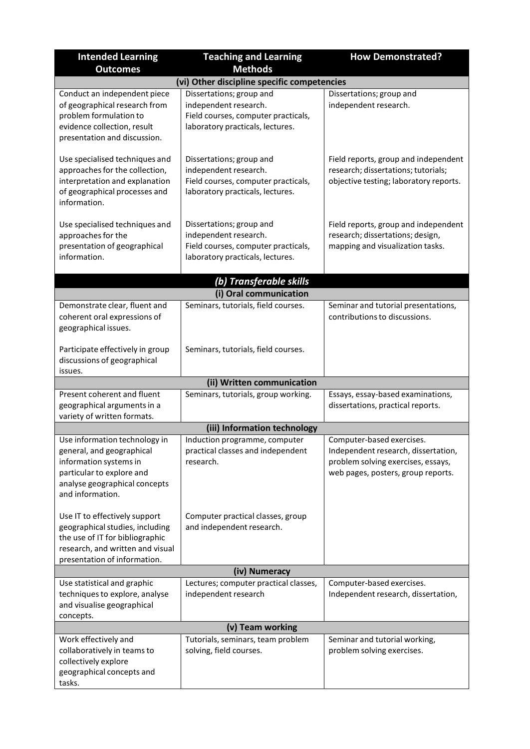| <b>Intended Learning</b>                                                                                                                                                | <b>Teaching and Learning</b>                                                                                                 | <b>How Demonstrated?</b>                                                                                                                     |  |  |
|-------------------------------------------------------------------------------------------------------------------------------------------------------------------------|------------------------------------------------------------------------------------------------------------------------------|----------------------------------------------------------------------------------------------------------------------------------------------|--|--|
| <b>Outcomes</b>                                                                                                                                                         | <b>Methods</b>                                                                                                               |                                                                                                                                              |  |  |
|                                                                                                                                                                         | (vi) Other discipline specific competencies                                                                                  |                                                                                                                                              |  |  |
| Conduct an independent piece<br>of geographical research from<br>problem formulation to<br>evidence collection, result<br>presentation and discussion.                  | Dissertations; group and<br>independent research.<br>Field courses, computer practicals,<br>laboratory practicals, lectures. | Dissertations; group and<br>independent research.                                                                                            |  |  |
| Use specialised techniques and<br>approaches for the collection,<br>interpretation and explanation<br>of geographical processes and<br>information.                     | Dissertations; group and<br>independent research.<br>Field courses, computer practicals,<br>laboratory practicals, lectures. | Field reports, group and independent<br>research; dissertations; tutorials;<br>objective testing; laboratory reports.                        |  |  |
| Use specialised techniques and<br>approaches for the<br>presentation of geographical<br>information.                                                                    | Dissertations; group and<br>independent research.<br>Field courses, computer practicals,<br>laboratory practicals, lectures. | Field reports, group and independent<br>research; dissertations; design,<br>mapping and visualization tasks.                                 |  |  |
|                                                                                                                                                                         | (b) Transferable skills<br>(i) Oral communication                                                                            |                                                                                                                                              |  |  |
| Demonstrate clear, fluent and                                                                                                                                           | Seminars, tutorials, field courses.                                                                                          | Seminar and tutorial presentations,                                                                                                          |  |  |
| coherent oral expressions of<br>geographical issues.                                                                                                                    |                                                                                                                              | contributions to discussions.                                                                                                                |  |  |
| Participate effectively in group<br>discussions of geographical<br>issues.                                                                                              | Seminars, tutorials, field courses.                                                                                          |                                                                                                                                              |  |  |
|                                                                                                                                                                         | (ii) Written communication                                                                                                   |                                                                                                                                              |  |  |
| Present coherent and fluent<br>geographical arguments in a<br>variety of written formats.                                                                               | Seminars, tutorials, group working.                                                                                          | Essays, essay-based examinations,<br>dissertations, practical reports.                                                                       |  |  |
|                                                                                                                                                                         | (iii) Information technology                                                                                                 |                                                                                                                                              |  |  |
| Use information technology in<br>general, and geographical<br>information systems in<br>particular to explore and<br>analyse geographical concepts<br>and information.  | Induction programme, computer<br>practical classes and independent<br>research.                                              | Computer-based exercises.<br>Independent research, dissertation,<br>problem solving exercises, essays,<br>web pages, posters, group reports. |  |  |
| Use IT to effectively support<br>geographical studies, including<br>the use of IT for bibliographic<br>research, and written and visual<br>presentation of information. | Computer practical classes, group<br>and independent research.                                                               |                                                                                                                                              |  |  |
| (iv) Numeracy                                                                                                                                                           |                                                                                                                              |                                                                                                                                              |  |  |
| Use statistical and graphic<br>techniques to explore, analyse<br>and visualise geographical<br>concepts.                                                                | Lectures; computer practical classes,<br>independent research                                                                | Computer-based exercises.<br>Independent research, dissertation,                                                                             |  |  |
|                                                                                                                                                                         | (v) Team working                                                                                                             |                                                                                                                                              |  |  |
| Work effectively and<br>collaboratively in teams to<br>collectively explore<br>geographical concepts and<br>tasks.                                                      | Tutorials, seminars, team problem<br>solving, field courses.                                                                 | Seminar and tutorial working,<br>problem solving exercises.                                                                                  |  |  |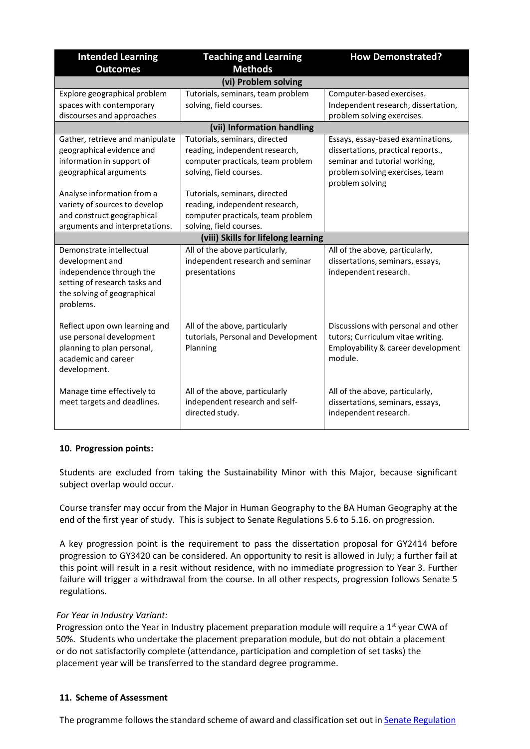| <b>Intended Learning</b><br><b>Outcomes</b>           | <b>Teaching and Learning</b><br><b>Methods</b> | <b>How Demonstrated?</b>                                          |
|-------------------------------------------------------|------------------------------------------------|-------------------------------------------------------------------|
|                                                       | (vi) Problem solving                           |                                                                   |
| Explore geographical problem                          | Tutorials, seminars, team problem              | Computer-based exercises.                                         |
| spaces with contemporary<br>discourses and approaches | solving, field courses.                        | Independent research, dissertation,<br>problem solving exercises. |
|                                                       | (vii) Information handling                     |                                                                   |
| Gather, retrieve and manipulate                       | Tutorials, seminars, directed                  | Essays, essay-based examinations,                                 |
| geographical evidence and                             | reading, independent research,                 | dissertations, practical reports.,                                |
| information in support of                             | computer practicals, team problem              | seminar and tutorial working,                                     |
| geographical arguments                                | solving, field courses.                        | problem solving exercises, team                                   |
|                                                       |                                                | problem solving                                                   |
| Analyse information from a                            | Tutorials, seminars, directed                  |                                                                   |
| variety of sources to develop                         | reading, independent research,                 |                                                                   |
| and construct geographical                            | computer practicals, team problem              |                                                                   |
| arguments and interpretations.                        | solving, field courses.                        |                                                                   |
|                                                       | (viii) Skills for lifelong learning            |                                                                   |
| Demonstrate intellectual                              | All of the above particularly,                 | All of the above, particularly,                                   |
| development and                                       | independent research and seminar               | dissertations, seminars, essays,                                  |
| independence through the                              | presentations                                  | independent research.                                             |
| setting of research tasks and                         |                                                |                                                                   |
| the solving of geographical                           |                                                |                                                                   |
| problems.                                             |                                                |                                                                   |
| Reflect upon own learning and                         | All of the above, particularly                 | Discussions with personal and other                               |
| use personal development                              | tutorials, Personal and Development            | tutors; Curriculum vitae writing.                                 |
| planning to plan personal,                            | Planning                                       | Employability & career development                                |
| academic and career                                   |                                                | module.                                                           |
| development.                                          |                                                |                                                                   |
|                                                       |                                                |                                                                   |
| Manage time effectively to                            | All of the above, particularly                 | All of the above, particularly,                                   |
| meet targets and deadlines.                           | independent research and self-                 | dissertations, seminars, essays,                                  |
|                                                       | directed study.                                | independent research.                                             |
|                                                       |                                                |                                                                   |

## **10. Progression points:**

Students are excluded from taking the Sustainability Minor with this Major, because significant subject overlap would occur.

Course transfer may occur from the Major in Human Geography to the BA Human Geography at the end of the first year of study. This is subject to Senate Regulations 5.6 to 5.16. on progression.

A key progression point is the requirement to pass the dissertation proposal for GY2414 before progression to GY3420 can be considered. An opportunity to resit is allowed in July; a further fail at this point will result in a resit without residence, with no immediate progression to Year 3. Further failure will trigger a withdrawal from the course. In all other respects, progression follows Senate 5 regulations.

## *For Year in Industry Variant:*

Progression onto the Year in Industry placement preparation module will require a 1<sup>st</sup> year CWA of 50%. Students who undertake the placement preparation module, but do not obtain a placement or do not satisfactorily complete (attendance, participation and completion of set tasks) the placement year will be transferred to the standard degree programme.

## **11. Scheme of Assessment**

The programme followsthe standard scheme of award and classification set out in Senate [Regulation](http://www2.le.ac.uk/offices/sas2/regulations/general-regulations-for-taught-programmes)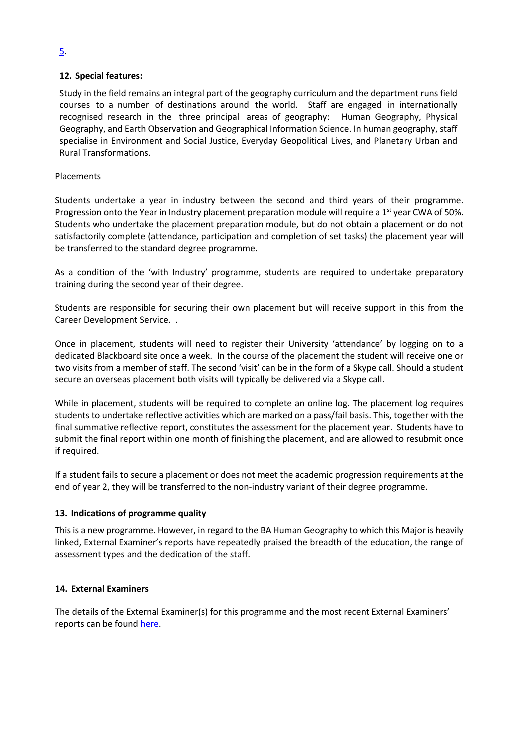## **12. Special features:**

Study in the field remains an integral part of the geography curriculum and the department runs field courses to a number of destinations around the world. Staff are engaged in internationally recognised research in the three principal areas of geography: Human Geography, Physical Geography, and Earth Observation and Geographical Information Science. In human geography, staff specialise in Environment and Social Justice, Everyday Geopolitical Lives, and Planetary Urban and Rural Transformations.

## Placements

Students undertake a year in industry between the second and third years of their programme. Progression onto the Year in Industry placement preparation module will require a  $1<sup>st</sup>$  year CWA of 50%. Students who undertake the placement preparation module, but do not obtain a placement or do not satisfactorily complete (attendance, participation and completion of set tasks) the placement year will be transferred to the standard degree programme.

As a condition of the 'with Industry' programme, students are required to undertake preparatory training during the second year of their degree.

Students are responsible for securing their own placement but will receive support in this from the Career Development Service. .

Once in placement, students will need to register their University 'attendance' by logging on to a dedicated Blackboard site once a week. In the course of the placement the student will receive one or two visits from a member of staff. The second 'visit' can be in the form of a Skype call. Should a student secure an overseas placement both visits will typically be delivered via a Skype call.

While in placement, students will be required to complete an online log. The placement log requires students to undertake reflective activities which are marked on a pass/fail basis. This, together with the final summative reflective report, constitutes the assessment for the placement year. Students have to submit the final report within one month of finishing the placement, and are allowed to resubmit once if required.

If a student fails to secure a placement or does not meet the academic progression requirements at the end of year 2, they will be transferred to the non-industry variant of their degree programme.

## **13. Indications of programme quality**

This is a new programme. However, in regard to the BA Human Geography to which this Major is heavily linked, External Examiner's reports have repeatedly praised the breadth of the education, the range of assessment types and the dedication of the staff.

## **14. External Examiners**

The details of the External Examiner(s) for this programme and the most recent External Examiners' reports can be found [here.](https://exampapers.le.ac.uk/xmlui/handle/123456789/287)

## [5.](http://www2.le.ac.uk/offices/sas2/regulations/general-regulations-for-taught-programmes)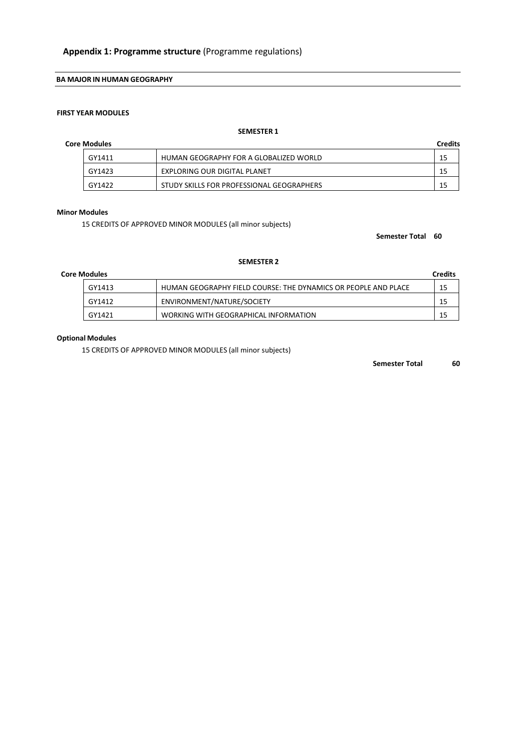#### **BA MAJOR IN HUMAN GEOGRAPHY**

## **FIRST YEAR MODULES**

## **SEMESTER 1**

## **Core Modules Credits**

| GY1411 | HUMAN GEOGRAPHY FOR A GLOBALIZED WORLD    |  |
|--------|-------------------------------------------|--|
| GY1423 | EXPLORING OUR DIGITAL PLANET              |  |
| GY1422 | STUDY SKILLS FOR PROFESSIONAL GEOGRAPHERS |  |

#### **Minor Modules**

15 CREDITS OF APPROVED MINOR MODULES (all minor subjects)

#### **Semester Total 60**

#### **SEMESTER 2**

| <b>Core Modules</b> |                                                                | <b>Credits</b> |
|---------------------|----------------------------------------------------------------|----------------|
| GY1413              | HUMAN GEOGRAPHY FIELD COURSE: THE DYNAMICS OR PEOPLE AND PLACE | 15             |
| GY1412              | ENVIRONMENT/NATURE/SOCIETY                                     | 15             |
| GY1421              | WORKING WITH GEOGRAPHICAL INFORMATION                          | 15             |

## **Optional Modules**

15 CREDITS OF APPROVED MINOR MODULES (all minor subjects)

**Semester Total 60**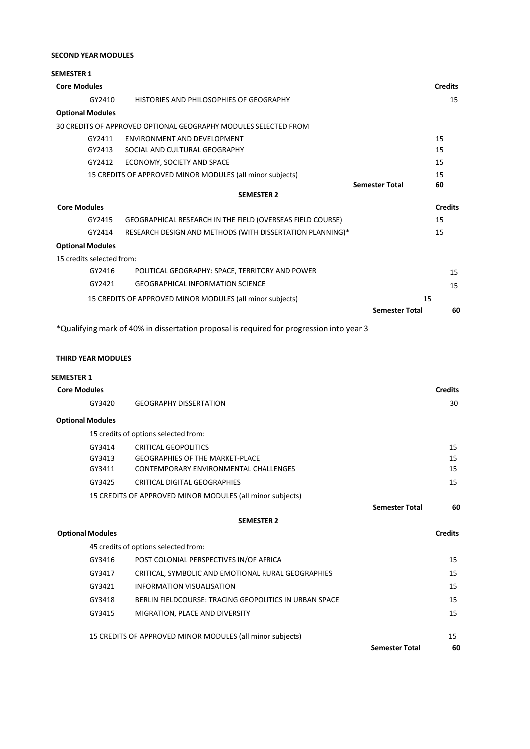## **SECOND YEAR MODULES**

| <b>SEMESTER 1</b>         |                                                                 |                       |                |
|---------------------------|-----------------------------------------------------------------|-----------------------|----------------|
| <b>Core Modules</b>       |                                                                 |                       | <b>Credits</b> |
| GY2410                    | HISTORIES AND PHILOSOPHIES OF GEOGRAPHY                         |                       | 15             |
| <b>Optional Modules</b>   |                                                                 |                       |                |
|                           | 30 CREDITS OF APPROVED OPTIONAL GEOGRAPHY MODULES SELECTED FROM |                       |                |
| GY2411                    | ENVIRONMENT AND DEVELOPMENT                                     |                       | 15             |
| GY2413                    | SOCIAL AND CULTURAL GEOGRAPHY                                   |                       | 15             |
| GY2412                    | ECONOMY, SOCIETY AND SPACE                                      |                       | 15             |
|                           | 15 CREDITS OF APPROVED MINOR MODULES (all minor subjects)       |                       | 15             |
|                           |                                                                 | <b>Semester Total</b> | 60             |
|                           | <b>SEMESTER 2</b>                                               |                       |                |
| <b>Core Modules</b>       |                                                                 |                       | <b>Credits</b> |
| GY2415                    | GEOGRAPHICAL RESEARCH IN THE FIELD (OVERSEAS FIELD COURSE)      |                       | 15             |
| GY2414                    | RESEARCH DESIGN AND METHODS (WITH DISSERTATION PLANNING)*       |                       | 15             |
| <b>Optional Modules</b>   |                                                                 |                       |                |
| 15 credits selected from: |                                                                 |                       |                |
| GY2416                    | POLITICAL GEOGRAPHY: SPACE, TERRITORY AND POWER                 |                       | 15             |
| GY2421                    | <b>GEOGRAPHICAL INFORMATION SCIENCE</b>                         |                       | 15             |
|                           | 15 CREDITS OF APPROVED MINOR MODULES (all minor subjects)       | 15                    |                |
|                           |                                                                 | <b>Semester Total</b> | 60             |

\*Qualifying mark of 40% in dissertation proposal is required for progression into year 3

## **THIRD YEAR MODULES**

## **SEMESTER 1**

| <b>Core Modules</b>     |        |                                                           | <b>Credits</b>        |                |
|-------------------------|--------|-----------------------------------------------------------|-----------------------|----------------|
|                         | GY3420 | <b>GEOGRAPHY DISSERTATION</b>                             |                       | 30             |
| <b>Optional Modules</b> |        |                                                           |                       |                |
|                         |        | 15 credits of options selected from:                      |                       |                |
|                         | GY3414 | <b>CRITICAL GEOPOLITICS</b>                               |                       | 15             |
|                         | GY3413 | <b>GEOGRAPHIES OF THE MARKET-PLACE</b>                    |                       | 15             |
|                         | GY3411 | CONTEMPORARY ENVIRONMENTAL CHALLENGES                     |                       | 15             |
|                         | GY3425 | CRITICAL DIGITAL GEOGRAPHIES                              |                       | 15             |
|                         |        | 15 CREDITS OF APPROVED MINOR MODULES (all minor subjects) |                       |                |
|                         |        |                                                           | <b>Semester Total</b> | 60             |
|                         |        | <b>SEMESTER 2</b>                                         |                       |                |
| <b>Optional Modules</b> |        |                                                           |                       | <b>Credits</b> |
|                         |        | 45 credits of options selected from:                      |                       |                |
|                         | GY3416 | POST COLONIAL PERSPECTIVES IN/OF AFRICA                   |                       | 15             |
|                         | GY3417 | CRITICAL, SYMBOLIC AND EMOTIONAL RURAL GEOGRAPHIES        |                       | 15             |
|                         | GY3421 | <b>INFORMATION VISUALISATION</b>                          |                       | 15             |
|                         | GY3418 | BERLIN FIELDCOURSE: TRACING GEOPOLITICS IN URBAN SPACE    |                       | 15             |
|                         | GY3415 | MIGRATION, PLACE AND DIVERSITY                            |                       | 15             |
|                         |        | 15 CREDITS OF APPROVED MINOR MODULES (all minor subjects) |                       | 15             |
|                         |        |                                                           | <b>Semester Total</b> | 60             |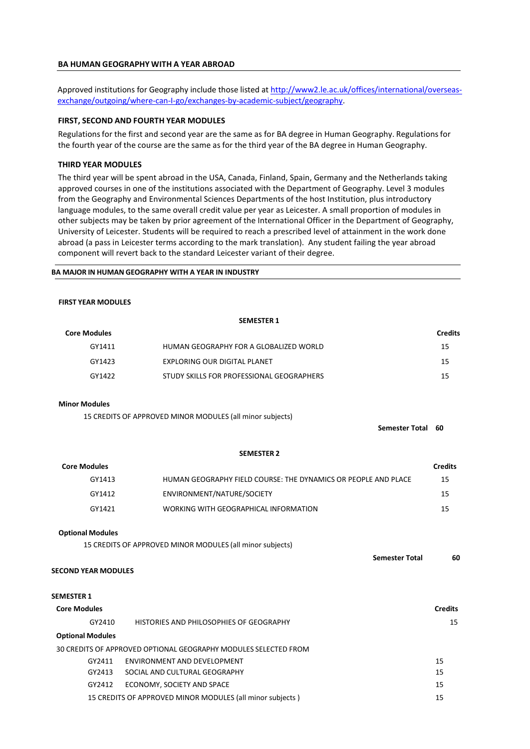#### **BA HUMAN GEOGRAPHY WITH A YEAR ABROAD**

Approved institutions for Geography include those listed a[t http://www2.le.ac.uk/offices/international/overseas](http://www2.le.ac.uk/offices/international/overseas-exchange/outgoing/where-can-I-go/exchanges-by-academic-subject/geography)[exchange/outgoing/where-can-I-go/exchanges-by-academic-subject/geography.](http://www2.le.ac.uk/offices/international/overseas-exchange/outgoing/where-can-I-go/exchanges-by-academic-subject/geography)

#### **FIRST, SECOND AND FOURTH YEAR MODULES**

Regulations for the first and second year are the same as for BA degree in Human Geography. Regulations for the fourth year of the course are the same as for the third year of the BA degree in Human Geography.

#### **THIRD YEAR MODULES**

The third year will be spent abroad in the USA, Canada, Finland, Spain, Germany and the Netherlands taking approved courses in one of the institutions associated with the Department of Geography. Level 3 modules from the Geography and Environmental Sciences Departments of the host Institution, plus introductory language modules, to the same overall credit value per year as Leicester. A small proportion of modules in other subjects may be taken by prior agreement of the International Officer in the Department of Geography, University of Leicester. Students will be required to reach a prescribed level of attainment in the work done abroad (a pass in Leicester terms according to the mark translation). Any student failing the year abroad component will revert back to the standard Leicester variant of their degree.

#### **BA MAJOR IN HUMAN GEOGRAPHY WITH A YEAR IN INDUSTRY**

#### **FIRST YEAR MODULES**

|                            | <b>SEMESTER 1</b>                                               |                |
|----------------------------|-----------------------------------------------------------------|----------------|
| <b>Core Modules</b>        |                                                                 | <b>Credits</b> |
| GY1411                     | HUMAN GEOGRAPHY FOR A GLOBALIZED WORLD                          | 15             |
| GY1423                     | EXPLORING OUR DIGITAL PLANET                                    | 15             |
| GY1422                     | STUDY SKILLS FOR PROFESSIONAL GEOGRAPHERS                       | 15             |
| <b>Minor Modules</b>       |                                                                 |                |
|                            | 15 CREDITS OF APPROVED MINOR MODULES (all minor subjects)       |                |
|                            | <b>Semester Total</b>                                           | 60             |
|                            | <b>SEMESTER 2</b>                                               |                |
| <b>Core Modules</b>        |                                                                 | <b>Credits</b> |
| GY1413                     | HUMAN GEOGRAPHY FIELD COURSE: THE DYNAMICS OR PEOPLE AND PLACE  | 15             |
| GY1412                     | ENVIRONMENT/NATURE/SOCIETY                                      | 15             |
| GY1421                     | WORKING WITH GEOGRAPHICAL INFORMATION                           | 15             |
| <b>Optional Modules</b>    |                                                                 |                |
|                            | 15 CREDITS OF APPROVED MINOR MODULES (all minor subjects)       |                |
|                            | <b>Semester Total</b>                                           | 60             |
| <b>SECOND YEAR MODULES</b> |                                                                 |                |
| SEMESTER 1                 |                                                                 |                |
| <b>Core Modules</b>        |                                                                 | <b>Credits</b> |
| GY2410                     | HISTORIES AND PHILOSOPHIES OF GEOGRAPHY                         | 15             |
| <b>Optional Modules</b>    |                                                                 |                |
|                            | 30 CREDITS OF APPROVED OPTIONAL GEOGRAPHY MODULES SELECTED FROM |                |
| GY2411                     | ENVIRONMENT AND DEVELOPMENT                                     | 15             |
| GY2413                     | SOCIAL AND CULTURAL GEOGRAPHY                                   | 15             |
| GY2412                     | ECONOMY, SOCIETY AND SPACE                                      | 15             |
|                            | 15 CREDITS OF APPROVED MINOR MODULES (all minor subjects)       | 15             |